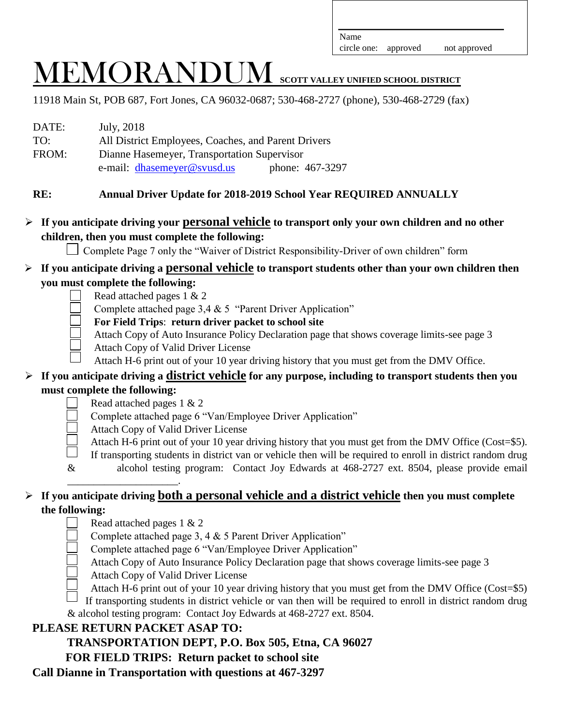circle one: approved not approved

# MEMORANDUM **SCOTT VALLEY UNIFIED SCHOOL DISTRICT**

11918 Main St, POB 687, Fort Jones, CA 96032-0687; 530-468-2727 (phone), 530-468-2729 (fax)

| DATE: | July, 2018                                          |  |  |
|-------|-----------------------------------------------------|--|--|
| TO:   | All District Employees, Coaches, and Parent Drivers |  |  |
| FROM: | Dianne Hasemeyer, Transportation Supervisor         |  |  |
|       | phone: 467-3297<br>e-mail: dhasemeyer@svusd.us      |  |  |

## **RE: Annual Driver Update for 2018-2019 School Year REQUIRED ANNUALLY**

## **If you anticipate driving your personal vehicle to transport only your own children and no other children, then you must complete the following:**

Complete Page 7 only the "Waiver of District Responsibility-Driver of own children" form

## **If you anticipate driving a personal vehicle to transport students other than your own children then you must complete the following:**

- Read attached pages 1 & 2
- Complete attached page 3,4 & 5 "Parent Driver Application"
- **For Field Trips**: **return driver packet to school site**
- Attach Copy of Auto Insurance Policy Declaration page that shows coverage limits-see page 3
- Attach Copy of Valid Driver License
- Attach H-6 print out of your 10 year driving history that you must get from the DMV Office.

## **If you anticipate driving a district vehicle for any purpose, including to transport students then you must complete the following:**

- Read attached pages 1 & 2
- Complete attached page 6 "Van/Employee Driver Application"
- Attach Copy of Valid Driver License
- Attach H-6 print out of your 10 year driving history that you must get from the DMV Office (Cost=\$5).
- If transporting students in district van or vehicle then will be required to enroll in district random drug
- & alcohol testing program: Contact Joy Edwards at 468-2727 ext. 8504, please provide email

## \_\_\_\_\_\_\_\_\_\_\_\_\_\_\_\_\_\_\_\_\_. **If you anticipate driving both a personal vehicle and a district vehicle then you must complete the following:**

- Read attached pages 1 & 2
- Complete attached page 3, 4 & 5 Parent Driver Application"
- Complete attached page 6 "Van/Employee Driver Application"
- Attach Copy of Auto Insurance Policy Declaration page that shows coverage limits-see page 3
- Attach Copy of Valid Driver License
- Attach H-6 print out of your 10 year driving history that you must get from the DMV Office (Cost=\$5)

If transporting students in district vehicle or van then will be required to enroll in district random drug & alcohol testing program: Contact Joy Edwards at 468-2727 ext. 8504.

# **PLEASE RETURN PACKET ASAP TO:**

 **TRANSPORTATION DEPT, P.O. Box 505, Etna, CA 96027** 

# **FOR FIELD TRIPS: Return packet to school site**

**Call Dianne in Transportation with questions at 467-3297**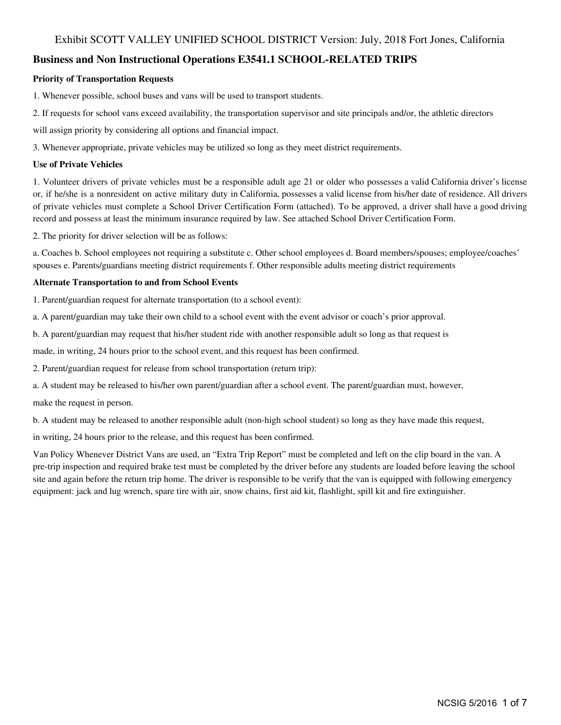#### **Business and Non Instructional Operations E3541.1 SCHOOL-RELATED TRIPS**

#### **Priority of Transportation Requests**

1. Whenever possible, school buses and vans will be used to transport students.

2. If requests for school vans exceed availability, the transportation supervisor and site principals and/or, the athletic directors

will assign priority by considering all options and financial impact.

3. Whenever appropriate, private vehicles may be utilized so long as they meet district requirements.

#### **Use of Private Vehicles**

1. Volunteer drivers of private vehicles must be a responsible adult age 21 or older who possesses a valid California driver's license or, if he/she is a nonresident on active military duty in California, possesses a valid license from his/her date of residence. All drivers of private vehicles must complete a School Driver Certification Form (attached). To be approved, a driver shall have a good driving record and possess at least the minimum insurance required by law. See attached School Driver Certification Form.

2. The priority for driver selection will be as follows:

a. Coaches b. School employees not requiring a substitute c. Other school employees d. Board members/spouses; employee/coaches' spouses e. Parents/guardians meeting district requirements f. Other responsible adults meeting district requirements

#### **Alternate Transportation to and from School Events**

1. Parent/guardian request for alternate transportation (to a school event):

a. A parent/guardian may take their own child to a school event with the event advisor or coach's prior approval.

b. A parent/guardian may request that his/her student ride with another responsible adult so long as that request is

made, in writing, 24 hours prior to the school event, and this request has been confirmed.

2. Parent/guardian request for release from school transportation (return trip):

a. A student may be released to his/her own parent/guardian after a school event. The parent/guardian must, however,

make the request in person.

b. A student may be released to another responsible adult (non-high school student) so long as they have made this request,

in writing, 24 hours prior to the release, and this request has been confirmed.

Van Policy Whenever District Vans are used, an "Extra Trip Report" must be completed and left on the clip board in the van. A pre-trip inspection and required brake test must be completed by the driver before any students are loaded before leaving the school site and again before the return trip home. The driver is responsible to be verify that the van is equipped with following emergency equipment: jack and lug wrench, spare tire with air, snow chains, first aid kit, flashlight, spill kit and fire extinguisher.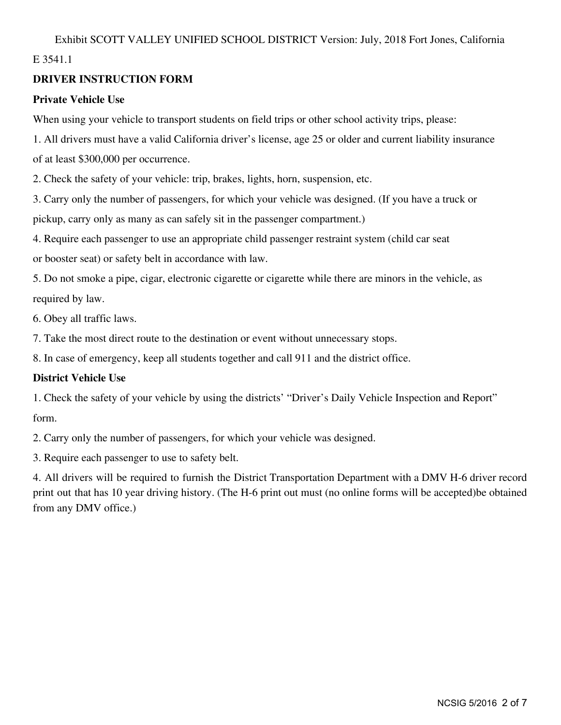## E 3541.1

## **DRIVER INSTRUCTION FORM**

## **Private Vehicle Use**

When using your vehicle to transport students on field trips or other school activity trips, please:

1. All drivers must have a valid California driver's license, age 25 or older and current liability insurance of at least \$300,000 per occurrence.

2. Check the safety of your vehicle: trip, brakes, lights, horn, suspension, etc.

3. Carry only the number of passengers, for which your vehicle was designed. (If you have a truck or pickup, carry only as many as can safely sit in the passenger compartment.)

4. Require each passenger to use an appropriate child passenger restraint system (child car seat

or booster seat) or safety belt in accordance with law.

5. Do not smoke a pipe, cigar, electronic cigarette or cigarette while there are minors in the vehicle, as required by law.

6. Obey all traffic laws.

7. Take the most direct route to the destination or event without unnecessary stops.

8. In case of emergency, keep all students together and call 911 and the district office.

## **District Vehicle Use**

1. Check the safety of your vehicle by using the districts' "Driver's Daily Vehicle Inspection and Report" form.

2. Carry only the number of passengers, for which your vehicle was designed.

3. Require each passenger to use to safety belt.

4. All drivers will be required to furnish the District Transportation Department with a DMV H-6 driver record print out that has 10 year driving history. (The H-6 print out must (no online forms will be accepted)be obtained from any DMV office.)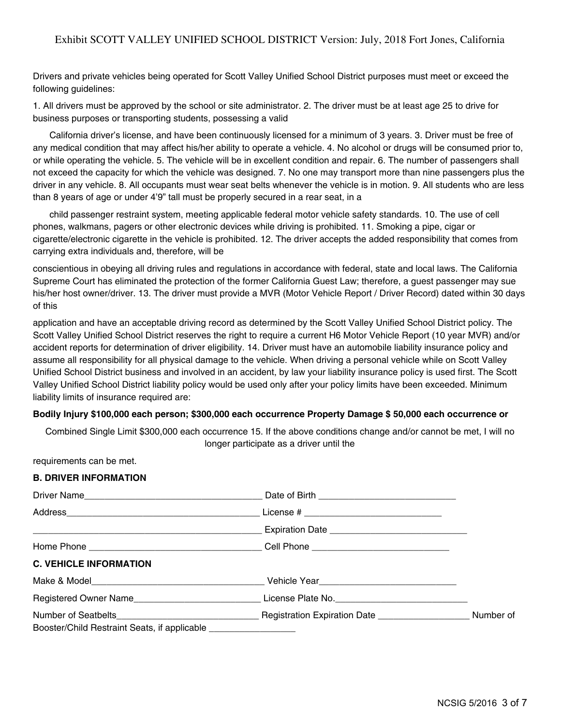Drivers and private vehicles being operated for Scott Valley Unified School District purposes must meet or exceed the following guidelines:

1. All drivers must be approved by the school or site administrator. 2. The driver must be at least age 25 to drive for business purposes or transporting students, possessing a valid

California driver's license, and have been continuously licensed for a minimum of 3 years. 3. Driver must be free of any medical condition that may affect his/her ability to operate a vehicle. 4. No alcohol or drugs will be consumed prior to, or while operating the vehicle. 5. The vehicle will be in excellent condition and repair. 6. The number of passengers shall not exceed the capacity for which the vehicle was designed. 7. No one may transport more than nine passengers plus the driver in any vehicle. 8. All occupants must wear seat belts whenever the vehicle is in motion. 9. All students who are less than 8 years of age or under 4'9" tall must be properly secured in a rear seat, in a

child passenger restraint system, meeting applicable federal motor vehicle safety standards. 10. The use of cell phones, walkmans, pagers or other electronic devices while driving is prohibited. 11. Smoking a pipe, cigar or cigarette/electronic cigarette in the vehicle is prohibited. 12. The driver accepts the added responsibility that comes from carrying extra individuals and, therefore, will be

conscientious in obeying all driving rules and regulations in accordance with federal, state and local laws. The California Supreme Court has eliminated the protection of the former California Guest Law; therefore, a guest passenger may sue his/her host owner/driver. 13. The driver must provide a MVR (Motor Vehicle Report / Driver Record) dated within 30 days of this

application and have an acceptable driving record as determined by the Scott Valley Unified School District policy. The Scott Valley Unified School District reserves the right to require a current H6 Motor Vehicle Report (10 year MVR) and/or accident reports for determination of driver eligibility. 14. Driver must have an automobile liability insurance policy and assume all responsibility for all physical damage to the vehicle. When driving a personal vehicle while on Scott Valley Unified School District business and involved in an accident, by law your liability insurance policy is used first. The Scott Valley Unified School District liability policy would be used only after your policy limits have been exceeded. Minimum liability limits of insurance required are:

#### **Bodily Injury \$100,000 each person; \$300,000 each occurrence Property Damage \$ 50,000 each occurrence or**

Combined Single Limit \$300,000 each occurrence 15. If the above conditions change and/or cannot be met, I will no longer participate as a driver until the

requirements can be met. **B. DRIVER INFORMATION**

| Registered Owner Name_______________________________License Plate No._______________________________                                                                   |  |
|------------------------------------------------------------------------------------------------------------------------------------------------------------------------|--|
| Number of Seatbelts Number of Seatbelts Number of Number of Number of Number of Number of Number of<br>Booster/Child Restraint Seats, if applicable __________________ |  |
|                                                                                                                                                                        |  |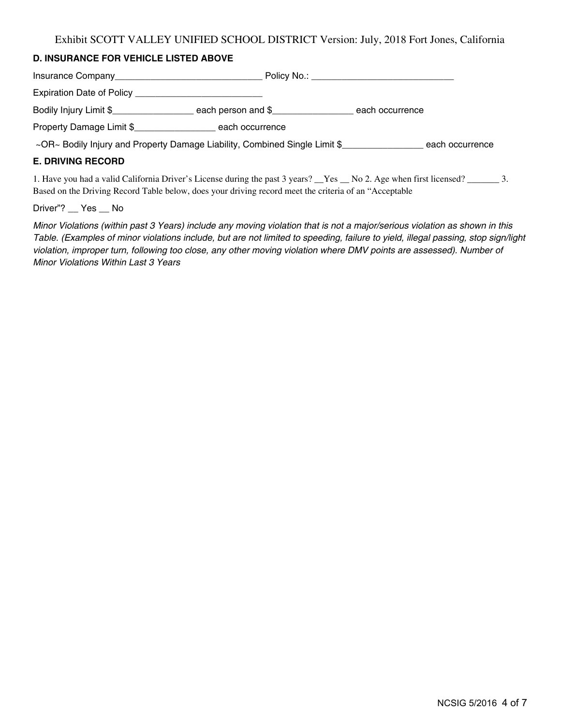## **D. INSURANCE FOR VEHICLE LISTED ABOVE**

|                                                                            |                 | Policy No.: _____________________________ |
|----------------------------------------------------------------------------|-----------------|-------------------------------------------|
|                                                                            |                 |                                           |
| Bodily Injury Limit \$                                                     |                 | each occurrence                           |
| Property Damage Limit \$                                                   | each occurrence |                                           |
| ~OR~ Bodily Injury and Property Damage Liability, Combined Single Limit \$ |                 | each occurrence                           |

#### **E. DRIVING RECORD**

1. Have you had a valid California Driver's License during the past 3 years? \_\_Yes \_\_ No 2. Age when first licensed? \_\_\_\_\_\_\_ 3. Based on the Driving Record Table below, does your driving record meet the criteria of an "Acceptable

Driver"? \_\_ Yes \_\_ No

Minor Violations (within past 3 Years) include any moving violation that is not a major/serious violation as shown in this Table. (Examples of minor violations include, but are not limited to speeding, failure to yield, illegal passing, stop sign/light violation, improper turn, following too close, any other moving violation where DMV points are assessed). Number of Minor Violations Within Last 3 Years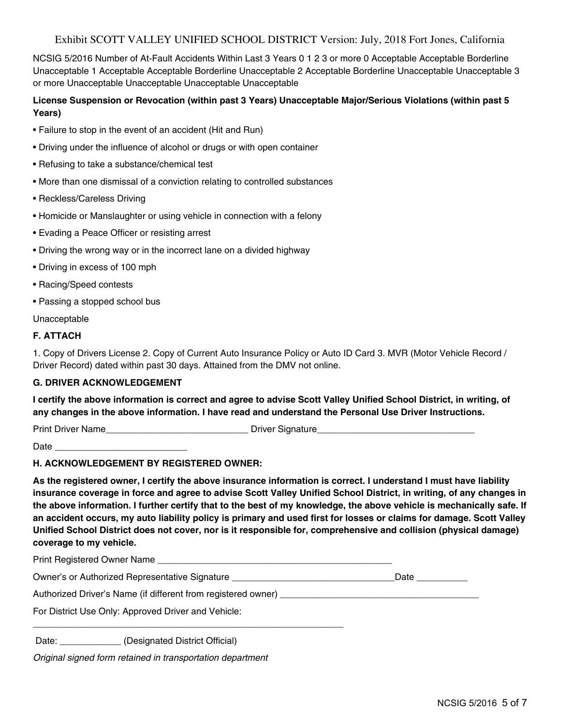## Exhibit SCOTT VALLEY UNIFIED SCHOOL DISTRICT Version: July, 2018 Fort Jones, California

NCSIG 5/2016 Number of At-Fault Accidents Within Last 3 Years 0 1 2 3 or more 0 Acceptable Acceptable Borderline Unacceptable 1 Acceptable Acceptable Borderline Unacceptable 2 Acceptable Borderline Unacceptable Unacceptable 3 or more Unacceptable Unacceptable Unacceptable Unacceptable

#### **License Suspension or Revocation (within past 3 Years) Unacceptable Major/Serious Violations (within past 5 Years)**

- Failure to stop in the event of an accident (Hit and Run)
- Driving under the influence of alcohol or drugs or with open container
- Refusing to take a substance/chemical test
- More than one dismissal of a conviction relating to controlled substances
- Reckless/Careless Driving
- Homicide or Manslaughter or using vehicle in connection with a felony
- Evading a Peace Officer or resisting arrest
- Driving the wrong way or in the incorrect lane on a divided highway
- Driving in excess of 100 mph
- Racing/Speed contests
- Passing a stopped school bus

Unacceptable

#### **F. ATTACH**

1. Copy of Drivers License 2. Copy of Current Auto Insurance Policy or Auto ID Card 3. MVR (Motor Vehicle Record / Driver Record) dated within past 30 days. Attained from the DMV not online.

#### **G. DRIVER ACKNOWLEDGEMENT**

I certify the above information is correct and agree to advise Scott Valley Unified School District, in writing, of **any changes in the above information. I have read and understand the Personal Use Driver Instructions.**

Print Driver Name **Name Driver Signature Driver Signature** 

 $Date$   $\Box$ 

#### **H. ACKNOWLEDGEMENT BY REGISTERED OWNER:**

As the registered owner, I certify the above insurance information is correct. I understand I must have liability insurance coverage in force and agree to advise Scott Valley Unified School District, in writing, of any changes in the above information. I further certify that to the best of my knowledge, the above vehicle is mechanically safe. If an accident occurs, my auto liability policy is primary and used first for losses or claims for damage. Scott Valley **Unified School District does not cover, nor is it responsible for, comprehensive and collision (physical damage) coverage to my vehicle.**

Print Registered Owner Name

Owner's or Authorized Representative Signature **Example 20** and the control of Date

Authorized Driver's Name (if different from registered owner)

\_\_\_\_\_\_\_\_\_\_\_\_\_\_\_\_\_\_\_\_\_\_\_\_\_\_\_\_\_\_\_\_\_\_\_\_\_\_\_\_\_\_\_\_\_\_\_\_\_\_\_\_\_\_\_\_\_\_\_\_\_

For District Use Only: Approved Driver and Vehicle:

Date: \_\_\_\_\_\_\_\_\_\_\_\_\_ (Designated District Official)

Original signed form retained in transportation department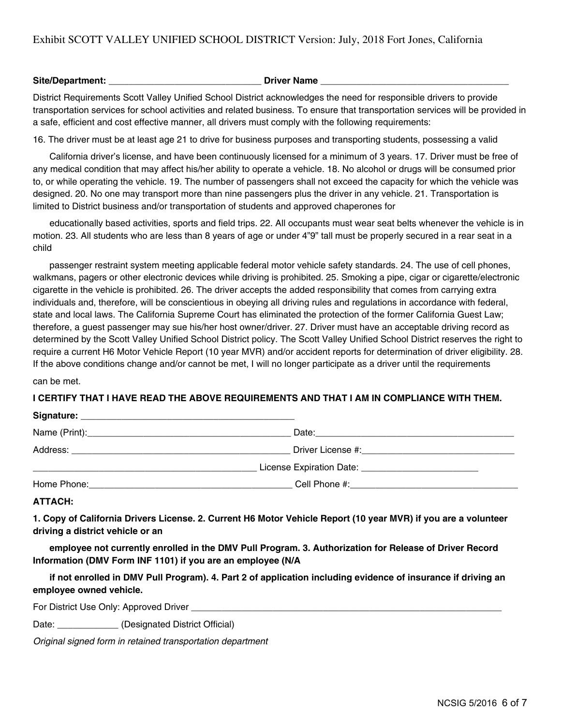## Exhibit SCOTT VALLEY UNIFIED SCHOOL DISTRICT Version: July, 2018 Fort Jones, California

#### **Site/Department: \_\_\_\_\_\_\_\_\_\_\_\_\_\_\_\_\_\_\_\_\_\_\_\_\_\_\_\_\_\_ Driver Name \_\_\_\_\_\_\_\_\_\_\_\_\_\_\_\_\_\_\_\_\_\_\_\_\_\_\_\_\_\_\_\_\_\_\_\_\_**

District Requirements Scott Valley Unified School District acknowledges the need for responsible drivers to provide transportation services for school activities and related business. To ensure that transportation services will be provided in a safe, efficient and cost effective manner, all drivers must comply with the following requirements:

16. The driver must be at least age 21 to drive for business purposes and transporting students, possessing a valid

California driver's license, and have been continuously licensed for a minimum of 3 years. 17. Driver must be free of any medical condition that may affect his/her ability to operate a vehicle. 18. No alcohol or drugs will be consumed prior to, or while operating the vehicle. 19. The number of passengers shall not exceed the capacity for which the vehicle was designed. 20. No one may transport more than nine passengers plus the driver in any vehicle. 21. Transportation is limited to District business and/or transportation of students and approved chaperones for

educationally based activities, sports and field trips. 22. All occupants must wear seat belts whenever the vehicle is in motion. 23. All students who are less than 8 years of age or under 4"9" tall must be properly secured in a rear seat in a child

passenger restraint system meeting applicable federal motor vehicle safety standards. 24. The use of cell phones, walkmans, pagers or other electronic devices while driving is prohibited. 25. Smoking a pipe, cigar or cigarette/electronic cigarette in the vehicle is prohibited. 26. The driver accepts the added responsibility that comes from carrying extra individuals and, therefore, will be conscientious in obeying all driving rules and regulations in accordance with federal, state and local laws. The California Supreme Court has eliminated the protection of the former California Guest Law; therefore, a guest passenger may sue his/her host owner/driver. 27. Driver must have an acceptable driving record as determined by the Scott Valley Unified School District policy. The Scott Valley Unified School District reserves the right to require a current H6 Motor Vehicle Report (10 year MVR) and/or accident reports for determination of driver eligibility. 28. If the above conditions change and/or cannot be met, I will no longer participate as a driver until the requirements

can be met.

#### **I CERTIFY THAT I HAVE READ THE ABOVE REQUIREMENTS AND THAT I AM IN COMPLIANCE WITH THEM.**

| Signature: _ |                                                        |  |
|--------------|--------------------------------------------------------|--|
|              | Date:                                                  |  |
|              |                                                        |  |
|              | License Expiration Date: _____________________________ |  |
| Home Phone:  | Cell Phone #:                                          |  |

**ATTACH:**

1. Copy of California Drivers License. 2. Current H6 Motor Vehicle Report (10 year MVR) if you are a volunteer **driving a district vehicle or an**

**employee not currently enrolled in the DMV Pull Program. 3. Authorization for Release of Driver Record Information (DMV Form INF 1101) if you are an employee (N/A**

if not enrolled in DMV Pull Program). 4. Part 2 of application including evidence of insurance if driving an **employee owned vehicle.**

For District Use Only: Approved Driver

Date: \_\_\_\_\_\_\_\_\_\_\_\_\_\_ (Designated District Official)

Original signed form in retained transportation department